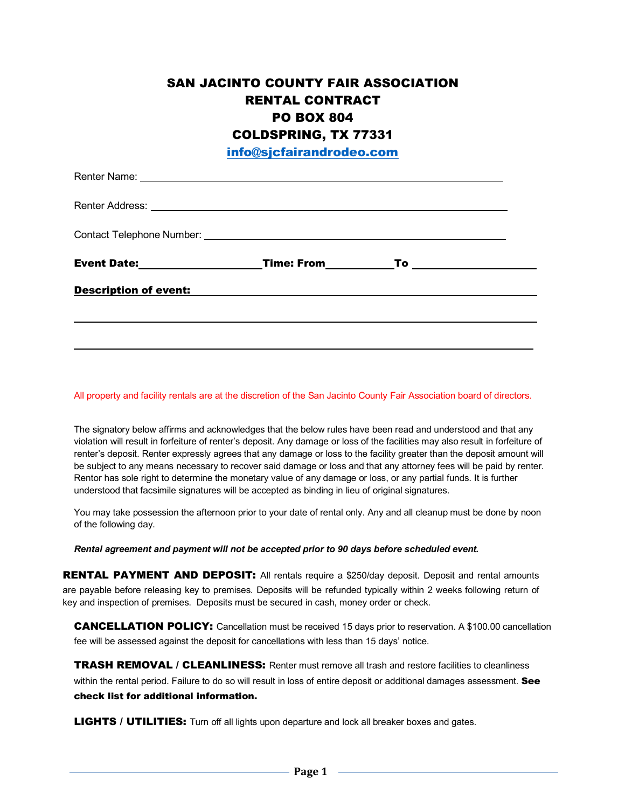## SAN JACINTO COUNTY FAIR ASSOCIATION RENTAL CONTRACT PO BOX 804 COLDSPRING, TX 77331

info@sjcfairandrodeo.com

| <b>Description of event:</b> |  |  |
|------------------------------|--|--|
|                              |  |  |
|                              |  |  |

All property and facility rentals are at the discretion of the San Jacinto County Fair Association board of directors.

The signatory below affirms and acknowledges that the below rules have been read and understood and that any violation will result in forfeiture of renter's deposit. Any damage or loss of the facilities may also result in forfeiture of renter's deposit. Renter expressly agrees that any damage or loss to the facility greater than the deposit amount will be subject to any means necessary to recover said damage or loss and that any attorney fees will be paid by renter. Rentor has sole right to determine the monetary value of any damage or loss, or any partial funds. It is further understood that facsimile signatures will be accepted as binding in lieu of original signatures.

You may take possession the afternoon prior to your date of rental only. Any and all cleanup must be done by noon of the following day.

*Rental agreement and payment will not be accepted prior to 90 days before scheduled event.*

**RENTAL PAYMENT AND DEPOSIT:** All rentals require a \$250/day deposit. Deposit and rental amounts are payable before releasing key to premises. Deposits will be refunded typically within 2 weeks following return of key and inspection of premises. Deposits must be secured in cash, money order or check.

CANCELLATION POLICY: Cancellation must be received 15 days prior to reservation. A \$100.00 cancellation fee will be assessed against the deposit for cancellations with less than 15 days' notice.

**TRASH REMOVAL / CLEANLINESS:** Renter must remove all trash and restore facilities to cleanliness within the rental period. Failure to do so will result in loss of entire deposit or additional damages assessment. See check list for additional information.

**LIGHTS / UTILITIES:** Turn off all lights upon departure and lock all breaker boxes and gates.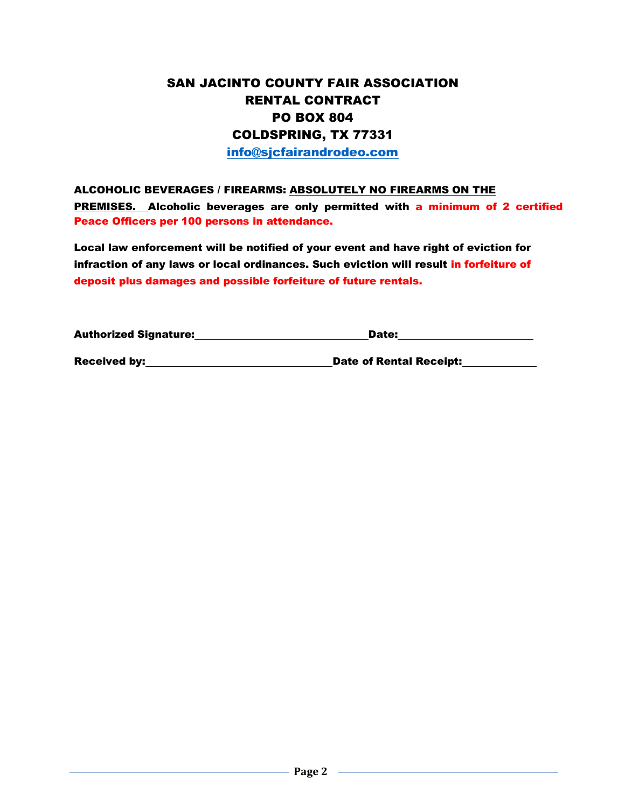## SAN JACINTO COUNTY FAIR ASSOCIATION RENTAL CONTRACT PO BOX 804 COLDSPRING, TX 77331

info@sjcfairandrodeo.com

## ALCOHOLIC BEVERAGES / FIREARMS: ABSOLUTELY NO FIREARMS ON THE PREMISES. Alcoholic beverages are only permitted with a minimum of 2 certified Peace Officers per 100 persons in attendance.

Local law enforcement will be notified of your event and have right of eviction for infraction of any laws or local ordinances. Such eviction will result in forfeiture of deposit plus damages and possible forfeiture of future rentals.

| <b>Authorized Signature:</b> | Date:                          |  |
|------------------------------|--------------------------------|--|
| <b>Received by:</b>          | <b>Date of Rental Receipt:</b> |  |